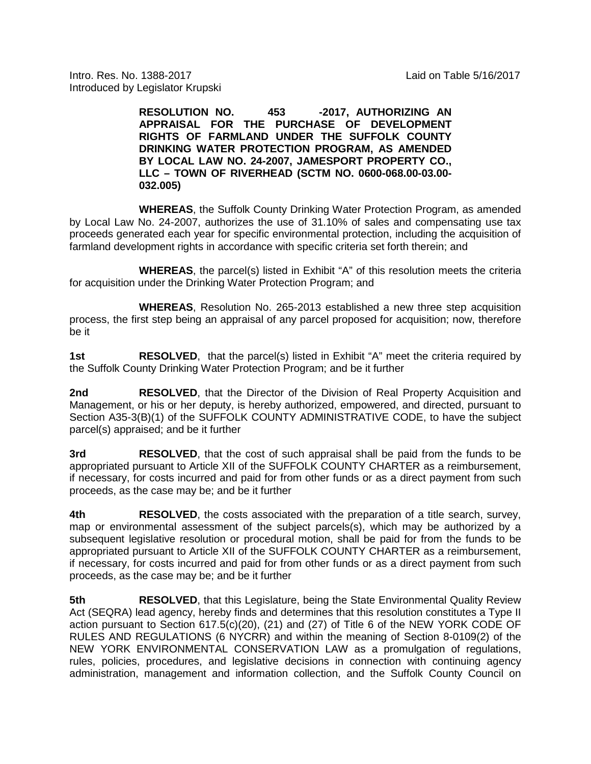Intro. Res. No. 1388-2017 Laid on Table 5/16/2017 Introduced by Legislator Krupski

> **RESOLUTION NO. 453 -2017, AUTHORIZING AN APPRAISAL FOR THE PURCHASE OF DEVELOPMENT RIGHTS OF FARMLAND UNDER THE SUFFOLK COUNTY DRINKING WATER PROTECTION PROGRAM, AS AMENDED BY LOCAL LAW NO. 24-2007, JAMESPORT PROPERTY CO., LLC – TOWN OF RIVERHEAD (SCTM NO. 0600-068.00-03.00- 032.005)**

**WHEREAS**, the Suffolk County Drinking Water Protection Program, as amended by Local Law No. 24-2007, authorizes the use of 31.10% of sales and compensating use tax proceeds generated each year for specific environmental protection, including the acquisition of farmland development rights in accordance with specific criteria set forth therein; and

**WHEREAS**, the parcel(s) listed in Exhibit "A" of this resolution meets the criteria for acquisition under the Drinking Water Protection Program; and

**WHEREAS**, Resolution No. 265-2013 established a new three step acquisition process, the first step being an appraisal of any parcel proposed for acquisition; now, therefore be it

**1st RESOLVED**, that the parcel(s) listed in Exhibit "A" meet the criteria required by the Suffolk County Drinking Water Protection Program; and be it further

**2nd RESOLVED**, that the Director of the Division of Real Property Acquisition and Management, or his or her deputy, is hereby authorized, empowered, and directed, pursuant to Section A35-3(B)(1) of the SUFFOLK COUNTY ADMINISTRATIVE CODE, to have the subject parcel(s) appraised; and be it further

**3rd RESOLVED**, that the cost of such appraisal shall be paid from the funds to be appropriated pursuant to Article XII of the SUFFOLK COUNTY CHARTER as a reimbursement, if necessary, for costs incurred and paid for from other funds or as a direct payment from such proceeds, as the case may be; and be it further

**4th RESOLVED**, the costs associated with the preparation of a title search, survey, map or environmental assessment of the subject parcels(s), which may be authorized by a subsequent legislative resolution or procedural motion, shall be paid for from the funds to be appropriated pursuant to Article XII of the SUFFOLK COUNTY CHARTER as a reimbursement, if necessary, for costs incurred and paid for from other funds or as a direct payment from such proceeds, as the case may be; and be it further

**5th RESOLVED**, that this Legislature, being the State Environmental Quality Review Act (SEQRA) lead agency, hereby finds and determines that this resolution constitutes a Type II action pursuant to Section 617.5(c)(20), (21) and (27) of Title 6 of the NEW YORK CODE OF RULES AND REGULATIONS (6 NYCRR) and within the meaning of Section 8-0109(2) of the NEW YORK ENVIRONMENTAL CONSERVATION LAW as a promulgation of regulations, rules, policies, procedures, and legislative decisions in connection with continuing agency administration, management and information collection, and the Suffolk County Council on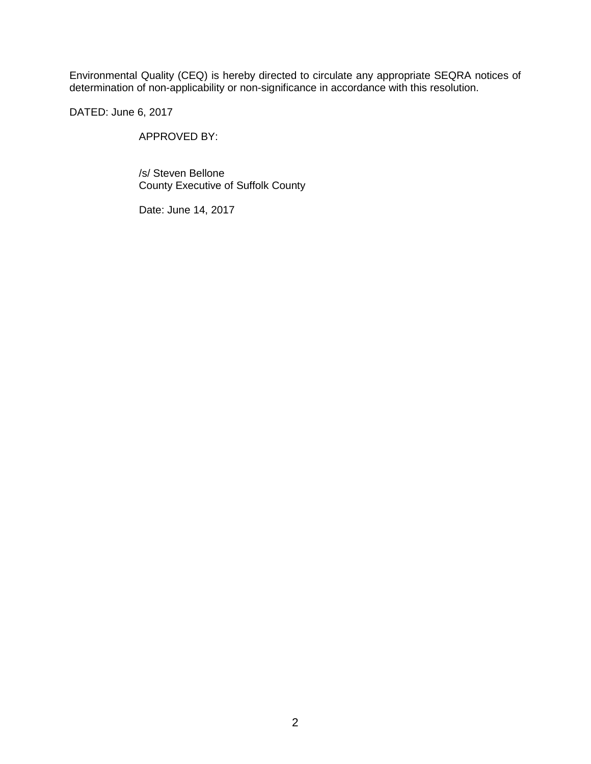Environmental Quality (CEQ) is hereby directed to circulate any appropriate SEQRA notices of determination of non-applicability or non-significance in accordance with this resolution.

DATED: June 6, 2017

APPROVED BY:

/s/ Steven Bellone County Executive of Suffolk County

Date: June 14, 2017